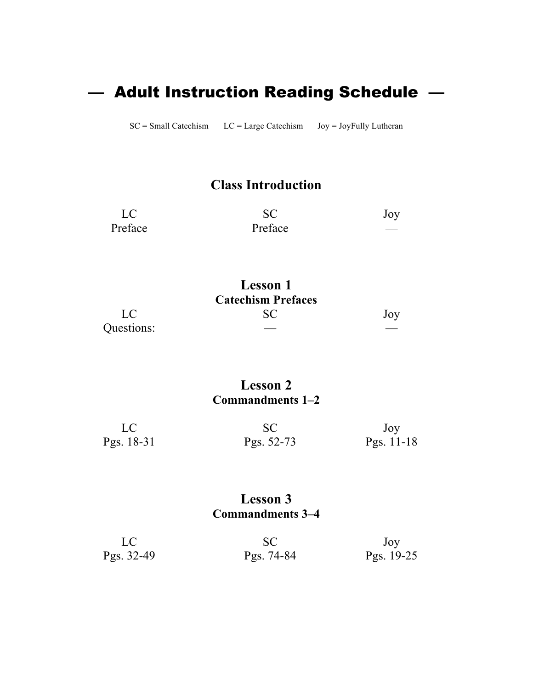# — Adult Instruction Reading Schedule —

SC = Small Catechism LC = Large Catechism Joy = JoyFully Lutheran

## **Class Introduction**

| LC <sup>1</sup> |         | Joy |
|-----------------|---------|-----|
| Preface         | Preface |     |

|            | Lesson 1                  |     |
|------------|---------------------------|-----|
|            | <b>Catechism Prefaces</b> |     |
| LC         | SC)                       | Joy |
| Questions: |                           |     |

#### **Lesson 2 Commandments 1–2**

| LC         |            | Joy          |
|------------|------------|--------------|
| Pgs. 18-31 | Pgs. 52-73 | Pgs. $11-18$ |

#### **Lesson 3 Commandments 3–4**

| LC         |            | Joy        |
|------------|------------|------------|
| Pgs. 32-49 | Pgs. 74-84 | Pgs. 19-25 |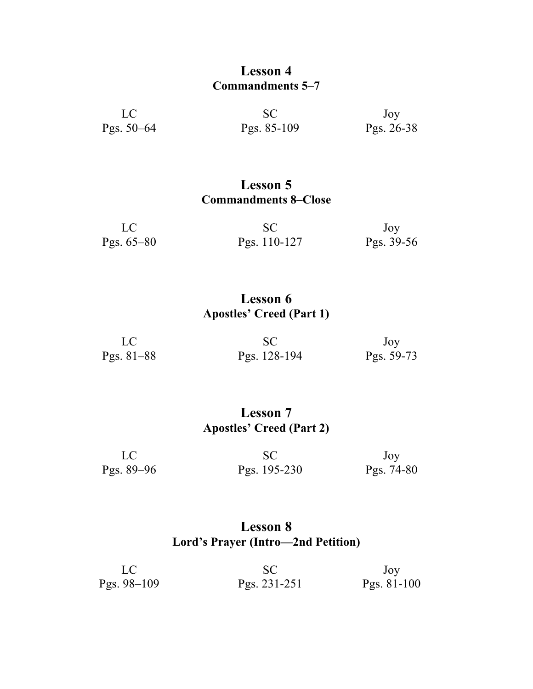#### **Lesson 4 Commandments 5–7**

| LC.          | <b>SC</b>   | Joy        |
|--------------|-------------|------------|
| Pgs. $50-64$ | Pgs. 85-109 | Pgs. 26-38 |

### **Lesson 5 Commandments 8–Close**

| LC           |                | Joy        |
|--------------|----------------|------------|
| Pgs. $65-80$ | Pgs. $110-127$ | Pgs. 39-56 |

## **Lesson 6 Apostles' Creed (Part 1)**

| LC           |              | Joy        |
|--------------|--------------|------------|
| Pgs. $81-88$ | Pgs. 128-194 | Pgs. 59-73 |

## **Lesson 7 Apostles' Creed (Part 2)**

| LC             | <b>SC</b>    | Joy          |
|----------------|--------------|--------------|
| Pgs. $89 - 96$ | Pgs. 195-230 | Pgs. $74-80$ |

## **Lesson 8 Lord's Prayer (Intro—2nd Petition)**

|               |              | Joy           |
|---------------|--------------|---------------|
| Pgs. $98-109$ | Pgs. 231-251 | Pgs. $81-100$ |